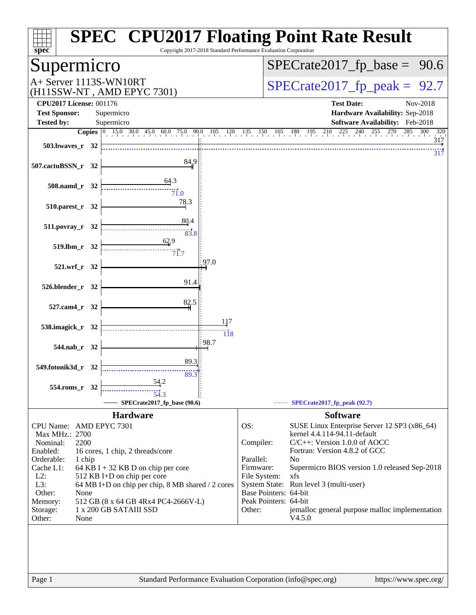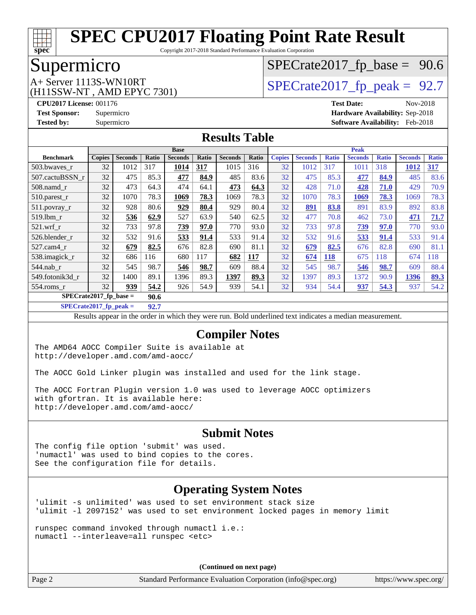

Copyright 2017-2018 Standard Performance Evaluation Corporation

# Supermicro

(H11SSW-NT , AMD EPYC 7301)

# $SPECTate2017_fp\_base = 90.6$

# $A+$  Server 1113S-WN10RT  $\vert$  [SPECrate2017\\_fp\\_peak =](http://www.spec.org/auto/cpu2017/Docs/result-fields.html#SPECrate2017fppeak) 92.7

**[CPU2017 License:](http://www.spec.org/auto/cpu2017/Docs/result-fields.html#CPU2017License)** 001176 **[Test Date:](http://www.spec.org/auto/cpu2017/Docs/result-fields.html#TestDate)** Nov-2018 **[Test Sponsor:](http://www.spec.org/auto/cpu2017/Docs/result-fields.html#TestSponsor)** Supermicro **[Hardware Availability:](http://www.spec.org/auto/cpu2017/Docs/result-fields.html#HardwareAvailability)** Sep-2018 **[Tested by:](http://www.spec.org/auto/cpu2017/Docs/result-fields.html#Testedby)** Supermicro **[Software Availability:](http://www.spec.org/auto/cpu2017/Docs/result-fields.html#SoftwareAvailability)** Feb-2018

### **[Results Table](http://www.spec.org/auto/cpu2017/Docs/result-fields.html#ResultsTable)**

|                          | <b>Base</b>   |                |       |                |       |                | <b>Peak</b> |               |                |              |                |              |                |              |
|--------------------------|---------------|----------------|-------|----------------|-------|----------------|-------------|---------------|----------------|--------------|----------------|--------------|----------------|--------------|
| <b>Benchmark</b>         | <b>Copies</b> | <b>Seconds</b> | Ratio | <b>Seconds</b> | Ratio | <b>Seconds</b> | Ratio       | <b>Copies</b> | <b>Seconds</b> | <b>Ratio</b> | <b>Seconds</b> | <b>Ratio</b> | <b>Seconds</b> | <b>Ratio</b> |
| 503.bwayes r             | 32            | 1012           | 317   | 1014           | 317   | 1015           | 316         | 32            | 1012           | 317          | 1011           | 318          | 1012           | 317          |
| 507.cactuBSSN r          | 32            | 475            | 85.3  | 477            | 84.9  | 485            | 83.6        | 32            | 475            | 85.3         | 477            | 84.9         | 485            | 83.6         |
| $508$ .namd $r$          | 32            | 473            | 64.3  | 474            | 64.1  | 473            | 64.3        | 32            | 428            | 71.0         | 428            | 71.0         | 429            | 70.9         |
| 510.parest_r             | 32            | 1070           | 78.3  | 1069           | 78.3  | 1069           | 78.3        | 32            | 1070           | 78.3         | 1069           | 78.3         | 1069           | 78.3         |
| 511.povray_r             | 32            | 928            | 80.6  | 929            | 80.4  | 929            | 80.4        | 32            | <u>891</u>     | 83.8         | 891            | 83.9         | 892            | 83.8         |
| $519$ .lbm $r$           | 32            | 536            | 62.9  | 527            | 63.9  | 540            | 62.5        | 32            | 477            | 70.8         | 462            | 73.0         | 471            | 71.7         |
| $521$ .wrf r             | 32            | 733            | 97.8  | 739            | 97.0  | 770            | 93.0        | 32            | 733            | 97.8         | 739            | 97.0         | 770            | 93.0         |
| 526.blender r            | 32            | 532            | 91.6  | 533            | 91.4  | 533            | 91.4        | 32            | 532            | 91.6         | 533            | 91.4         | 533            | 91.4         |
| 527.cam4 r               | 32            | 679            | 82.5  | 676            | 82.8  | 690            | 81.1        | 32            | 679            | 82.5         | 676            | 82.8         | 690            | 81.1         |
| 538.imagick_r            | 32            | 686            | 116   | 680            | 117   | 682            | <b>117</b>  | 32            | 674            | <b>118</b>   | 675            | 118          | 674            | 118          |
| 544.nab r                | 32            | 545            | 98.7  | 546            | 98.7  | 609            | 88.4        | 32            | 545            | 98.7         | 546            | 98.7         | 609            | 88.4         |
| 549.fotonik3d r          | 32            | 1400           | 89.1  | 1396           | 89.3  | 1397           | 89.3        | 32            | 1397           | 89.3         | 1372           | 90.9         | 1396           | 89.3         |
| $554$ .roms r            | 32            | 939            | 54.2  | 926            | 54.9  | 939            | 54.1        | 32            | 934            | 54.4         | 937            | 54.3         | 937            | 54.2         |
| $SPECrate2017$ fp base = |               |                |       |                |       |                |             |               |                |              |                |              |                |              |

**[SPECrate2017\\_fp\\_peak =](http://www.spec.org/auto/cpu2017/Docs/result-fields.html#SPECrate2017fppeak) 92.7**

Results appear in the [order in which they were run.](http://www.spec.org/auto/cpu2017/Docs/result-fields.html#RunOrder) Bold underlined text [indicates a median measurement.](http://www.spec.org/auto/cpu2017/Docs/result-fields.html#Median)

#### **[Compiler Notes](http://www.spec.org/auto/cpu2017/Docs/result-fields.html#CompilerNotes)**

The AMD64 AOCC Compiler Suite is available at <http://developer.amd.com/amd-aocc/>

The AOCC Gold Linker plugin was installed and used for the link stage.

The AOCC Fortran Plugin version 1.0 was used to leverage AOCC optimizers with gfortran. It is available here: <http://developer.amd.com/amd-aocc/>

#### **[Submit Notes](http://www.spec.org/auto/cpu2017/Docs/result-fields.html#SubmitNotes)**

The config file option 'submit' was used. 'numactl' was used to bind copies to the cores. See the configuration file for details.

### **[Operating System Notes](http://www.spec.org/auto/cpu2017/Docs/result-fields.html#OperatingSystemNotes)**

'ulimit -s unlimited' was used to set environment stack size 'ulimit -l 2097152' was used to set environment locked pages in memory limit

runspec command invoked through numactl i.e.: numactl --interleave=all runspec <etc>

**(Continued on next page)**

Page 2 Standard Performance Evaluation Corporation [\(info@spec.org\)](mailto:info@spec.org) <https://www.spec.org/>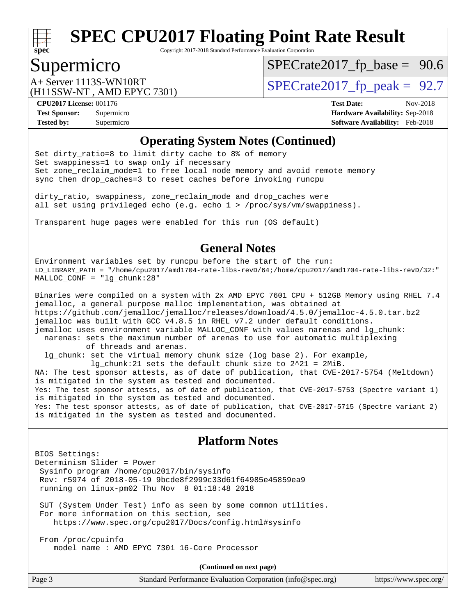

Copyright 2017-2018 Standard Performance Evaluation Corporation

# Supermicro

 $SPECrate2017_fp\_base = 90.6$ 

(H11SSW-NT , AMD EPYC 7301)

 $A+$  Server 1113S-WN10RT  $\begin{array}{c|c}\n\text{SPECrate2017\_fp\_peak} = 92.7\n\end{array}$ 

**[CPU2017 License:](http://www.spec.org/auto/cpu2017/Docs/result-fields.html#CPU2017License)** 001176 **[Test Date:](http://www.spec.org/auto/cpu2017/Docs/result-fields.html#TestDate)** Nov-2018 **[Test Sponsor:](http://www.spec.org/auto/cpu2017/Docs/result-fields.html#TestSponsor)** Supermicro **[Hardware Availability:](http://www.spec.org/auto/cpu2017/Docs/result-fields.html#HardwareAvailability)** Sep-2018 **[Tested by:](http://www.spec.org/auto/cpu2017/Docs/result-fields.html#Testedby)** Supermicro **[Software Availability:](http://www.spec.org/auto/cpu2017/Docs/result-fields.html#SoftwareAvailability)** Feb-2018

#### **[Operating System Notes \(Continued\)](http://www.spec.org/auto/cpu2017/Docs/result-fields.html#OperatingSystemNotes)**

Set dirty\_ratio=8 to limit dirty cache to 8% of memory Set swappiness=1 to swap only if necessary Set zone\_reclaim\_mode=1 to free local node memory and avoid remote memory sync then drop\_caches=3 to reset caches before invoking runcpu

dirty\_ratio, swappiness, zone\_reclaim\_mode and drop\_caches were all set using privileged echo (e.g. echo 1 > /proc/sys/vm/swappiness).

Transparent huge pages were enabled for this run (OS default)

### **[General Notes](http://www.spec.org/auto/cpu2017/Docs/result-fields.html#GeneralNotes)**

Environment variables set by runcpu before the start of the run: LD\_LIBRARY\_PATH = "/home/cpu2017/amd1704-rate-libs-revD/64;/home/cpu2017/amd1704-rate-libs-revD/32:" MALLOC\_CONF = "lg\_chunk:28"

Binaries were compiled on a system with 2x AMD EPYC 7601 CPU + 512GB Memory using RHEL 7.4 jemalloc, a general purpose malloc implementation, was obtained at <https://github.com/jemalloc/jemalloc/releases/download/4.5.0/jemalloc-4.5.0.tar.bz2> jemalloc was built with GCC v4.8.5 in RHEL v7.2 under default conditions. jemalloc uses environment variable MALLOC\_CONF with values narenas and lg\_chunk: narenas: sets the maximum number of arenas to use for automatic multiplexing of threads and arenas. lg\_chunk: set the virtual memory chunk size (log base 2). For example, lg chunk:21 sets the default chunk size to  $2^21 = 2MiB$ . NA: The test sponsor attests, as of date of publication, that CVE-2017-5754 (Meltdown) is mitigated in the system as tested and documented. Yes: The test sponsor attests, as of date of publication, that CVE-2017-5753 (Spectre variant 1) is mitigated in the system as tested and documented. Yes: The test sponsor attests, as of date of publication, that CVE-2017-5715 (Spectre variant 2) is mitigated in the system as tested and documented.

#### **[Platform Notes](http://www.spec.org/auto/cpu2017/Docs/result-fields.html#PlatformNotes)**

BIOS Settings: Determinism Slider = Power Sysinfo program /home/cpu2017/bin/sysinfo Rev: r5974 of 2018-05-19 9bcde8f2999c33d61f64985e45859ea9 running on linux-pm02 Thu Nov 8 01:18:48 2018

 SUT (System Under Test) info as seen by some common utilities. For more information on this section, see <https://www.spec.org/cpu2017/Docs/config.html#sysinfo>

 From /proc/cpuinfo model name : AMD EPYC 7301 16-Core Processor

**(Continued on next page)**

| Standard Performance Evaluation Corporation (info@spec.org) | https://www.spec.org/ |
|-------------------------------------------------------------|-----------------------|
|                                                             |                       |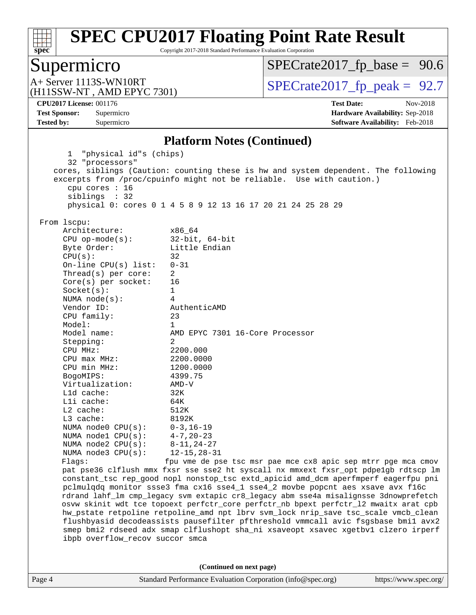

Copyright 2017-2018 Standard Performance Evaluation Corporation

### Supermicro

 $SPECTate2017_fp\_base = 90.6$ 

(H11SSW-NT , AMD EPYC 7301)

 $A+$  Server 1113S-WN10RT  $\begin{array}{c|c}\n\text{SPECrate2017\_fp\_peak} = 92.7\n\end{array}$ 

**[Tested by:](http://www.spec.org/auto/cpu2017/Docs/result-fields.html#Testedby)** Supermicro **[Software Availability:](http://www.spec.org/auto/cpu2017/Docs/result-fields.html#SoftwareAvailability)** Feb-2018

**[CPU2017 License:](http://www.spec.org/auto/cpu2017/Docs/result-fields.html#CPU2017License)** 001176 **[Test Date:](http://www.spec.org/auto/cpu2017/Docs/result-fields.html#TestDate)** Nov-2018 **[Test Sponsor:](http://www.spec.org/auto/cpu2017/Docs/result-fields.html#TestSponsor)** Supermicro **[Hardware Availability:](http://www.spec.org/auto/cpu2017/Docs/result-fields.html#HardwareAvailability)** Sep-2018

#### **[Platform Notes \(Continued\)](http://www.spec.org/auto/cpu2017/Docs/result-fields.html#PlatformNotes)**

Page 4 Standard Performance Evaluation Corporation [\(info@spec.org\)](mailto:info@spec.org) <https://www.spec.org/> 1 "physical id"s (chips) 32 "processors" cores, siblings (Caution: counting these is hw and system dependent. The following excerpts from /proc/cpuinfo might not be reliable. Use with caution.) cpu cores : 16 siblings : 32 physical 0: cores 0 1 4 5 8 9 12 13 16 17 20 21 24 25 28 29 From lscpu: Architecture: x86\_64 CPU op-mode(s): 32-bit, 64-bit Byte Order: Little Endian  $CPU(s):$  32 On-line CPU(s) list: 0-31 Thread(s) per core: 2 Core(s) per socket: 16 Socket(s): 1 NUMA node(s): 4 Vendor ID: AuthenticAMD CPU family: 23 Model: 1 Model name: AMD EPYC 7301 16-Core Processor Stepping: 2 CPU MHz: 2200.000 CPU max MHz: 2200.0000 CPU min MHz: 1200.0000 BogoMIPS: 4399.75 Virtualization: AMD-V L1d cache: 32K L1i cache: 64K L2 cache: 512K L3 cache: 8192K NUMA node0 CPU(s): 0-3,16-19 NUMA node1 CPU(s): 4-7,20-23 NUMA node2 CPU(s): 8-11,24-27 NUMA node3 CPU(s): 12-15,28-31 Flags: fpu vme de pse tsc msr pae mce cx8 apic sep mtrr pge mca cmov pat pse36 clflush mmx fxsr sse sse2 ht syscall nx mmxext fxsr\_opt pdpe1gb rdtscp lm constant\_tsc rep\_good nopl nonstop\_tsc extd\_apicid amd\_dcm aperfmperf eagerfpu pni pclmulqdq monitor ssse3 fma cx16 sse4\_1 sse4\_2 movbe popcnt aes xsave avx f16c rdrand lahf\_lm cmp\_legacy svm extapic cr8\_legacy abm sse4a misalignsse 3dnowprefetch osvw skinit wdt tce topoext perfctr\_core perfctr\_nb bpext perfctr\_l2 mwaitx arat cpb hw\_pstate retpoline retpoline\_amd npt lbrv svm\_lock nrip\_save tsc\_scale vmcb\_clean flushbyasid decodeassists pausefilter pfthreshold vmmcall avic fsgsbase bmi1 avx2 smep bmi2 rdseed adx smap clflushopt sha\_ni xsaveopt xsavec xgetbv1 clzero irperf ibpb overflow\_recov succor smca **(Continued on next page)**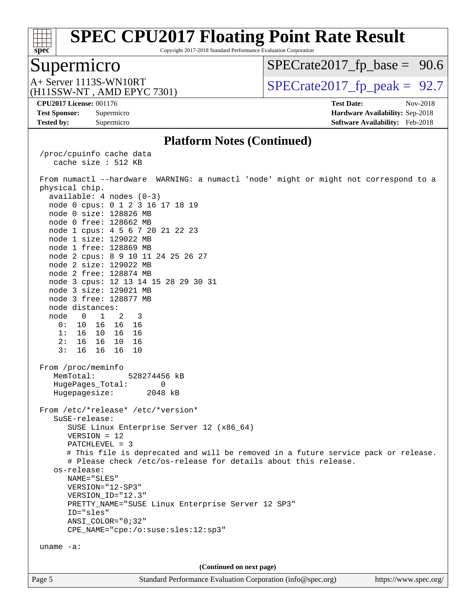

Copyright 2017-2018 Standard Performance Evaluation Corporation

### Supermicro

 $SPECTate2017_fp\_base = 90.6$ 

(H11SSW-NT , AMD EPYC 7301)

 $A+$  Server 1113S-WN10RT  $\begin{array}{c|c}\n\text{SPECrate2017\_fp\_peak} = 92.7\n\end{array}$ 

**[Tested by:](http://www.spec.org/auto/cpu2017/Docs/result-fields.html#Testedby)** Supermicro **[Software Availability:](http://www.spec.org/auto/cpu2017/Docs/result-fields.html#SoftwareAvailability)** Feb-2018

**[CPU2017 License:](http://www.spec.org/auto/cpu2017/Docs/result-fields.html#CPU2017License)** 001176 **[Test Date:](http://www.spec.org/auto/cpu2017/Docs/result-fields.html#TestDate)** Nov-2018 **[Test Sponsor:](http://www.spec.org/auto/cpu2017/Docs/result-fields.html#TestSponsor)** Supermicro **[Hardware Availability:](http://www.spec.org/auto/cpu2017/Docs/result-fields.html#HardwareAvailability)** Sep-2018

#### **[Platform Notes \(Continued\)](http://www.spec.org/auto/cpu2017/Docs/result-fields.html#PlatformNotes)**

 /proc/cpuinfo cache data cache size : 512 KB

Page 5 Standard Performance Evaluation Corporation [\(info@spec.org\)](mailto:info@spec.org) <https://www.spec.org/> From numactl --hardware WARNING: a numactl 'node' might or might not correspond to a physical chip. available: 4 nodes (0-3) node 0 cpus: 0 1 2 3 16 17 18 19 node 0 size: 128826 MB node 0 free: 128662 MB node 1 cpus: 4 5 6 7 20 21 22 23 node 1 size: 129022 MB node 1 free: 128869 MB node 2 cpus: 8 9 10 11 24 25 26 27 node 2 size: 129022 MB node 2 free: 128874 MB node 3 cpus: 12 13 14 15 28 29 30 31 node 3 size: 129021 MB node 3 free: 128877 MB node distances: node 0 1 2 3 0: 10 16 16 16 1: 16 10 16 16 2: 16 16 10 16 3: 16 16 16 10 From /proc/meminfo MemTotal: 528274456 kB HugePages\_Total: 0 Hugepagesize: 2048 kB From /etc/\*release\* /etc/\*version\* SuSE-release: SUSE Linux Enterprise Server 12 (x86\_64) VERSION = 12 PATCHLEVEL = 3 # This file is deprecated and will be removed in a future service pack or release. # Please check /etc/os-release for details about this release. os-release: NAME="SLES" VERSION="12-SP3" VERSION\_ID="12.3" PRETTY\_NAME="SUSE Linux Enterprise Server 12 SP3" ID="sles" ANSI\_COLOR="0;32" CPE\_NAME="cpe:/o:suse:sles:12:sp3" uname -a: **(Continued on next page)**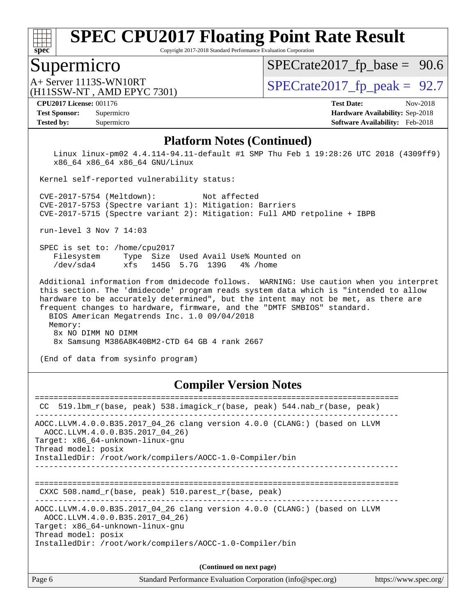

Copyright 2017-2018 Standard Performance Evaluation Corporation

### Supermicro

 $SPECTate2017_fp\_base = 90.6$ 

(H11SSW-NT , AMD EPYC 7301)

 $A+$  Server 1113S-WN10RT  $\vert$  [SPECrate2017\\_fp\\_peak =](http://www.spec.org/auto/cpu2017/Docs/result-fields.html#SPECrate2017fppeak) 92.7

**[Tested by:](http://www.spec.org/auto/cpu2017/Docs/result-fields.html#Testedby)** Supermicro **[Software Availability:](http://www.spec.org/auto/cpu2017/Docs/result-fields.html#SoftwareAvailability)** Feb-2018

**[CPU2017 License:](http://www.spec.org/auto/cpu2017/Docs/result-fields.html#CPU2017License)** 001176 **[Test Date:](http://www.spec.org/auto/cpu2017/Docs/result-fields.html#TestDate)** Nov-2018 **[Test Sponsor:](http://www.spec.org/auto/cpu2017/Docs/result-fields.html#TestSponsor)** Supermicro **[Hardware Availability:](http://www.spec.org/auto/cpu2017/Docs/result-fields.html#HardwareAvailability)** Sep-2018

#### **[Platform Notes \(Continued\)](http://www.spec.org/auto/cpu2017/Docs/result-fields.html#PlatformNotes)**

 Linux linux-pm02 4.4.114-94.11-default #1 SMP Thu Feb 1 19:28:26 UTC 2018 (4309ff9) x86\_64 x86\_64 x86\_64 GNU/Linux

Kernel self-reported vulnerability status:

 CVE-2017-5754 (Meltdown): Not affected CVE-2017-5753 (Spectre variant 1): Mitigation: Barriers CVE-2017-5715 (Spectre variant 2): Mitigation: Full AMD retpoline + IBPB

run-level 3 Nov 7 14:03

 SPEC is set to: /home/cpu2017 Filesystem Type Size Used Avail Use% Mounted on /dev/sda4 xfs 145G 5.7G 139G 4% /home

 Additional information from dmidecode follows. WARNING: Use caution when you interpret this section. The 'dmidecode' program reads system data which is "intended to allow hardware to be accurately determined", but the intent may not be met, as there are frequent changes to hardware, firmware, and the "DMTF SMBIOS" standard.

BIOS American Megatrends Inc. 1.0 09/04/2018

 Memory: 8x NO DIMM NO DIMM 8x Samsung M386A8K40BM2-CTD 64 GB 4 rank 2667

(End of data from sysinfo program)

#### **[Compiler Version Notes](http://www.spec.org/auto/cpu2017/Docs/result-fields.html#CompilerVersionNotes)**

| CC.    | 519.1bm_r(base, peak) 538.imagick_r(base, peak) 544.nab_r(base, peak)                                                                                                                                                                |
|--------|--------------------------------------------------------------------------------------------------------------------------------------------------------------------------------------------------------------------------------------|
|        | AOCC.LLVM.4.0.0.B35.2017 04 26 clang version 4.0.0 (CLANG:) (based on LLVM<br>AOCC.LLVM.4.0.0.B35.2017 04 26)<br>Target: x86 64-unknown-linux-gnu<br>Thread model: posix<br>InstalledDir: /root/work/compilers/AOCC-1.0-Compiler/bin |
|        | CXXC $508.namd_r(base, peak) 510.parest_r(base, peak)$                                                                                                                                                                               |
|        | AOCC.LLVM.4.0.0.B35.2017_04_26 clang version 4.0.0 (CLANG:) (based on LLVM<br>AOCC.LLVM.4.0.0.B35.2017 04 26)<br>Target: x86 64-unknown-linux-gnu<br>Thread model: posix<br>InstalledDir: /root/work/compilers/AOCC-1.0-Compiler/bin |
|        | (Continued on next page)                                                                                                                                                                                                             |
| Page 6 | Standard Performance Evaluation Corporation (info@spec.org)<br>https://www.spec.org/                                                                                                                                                 |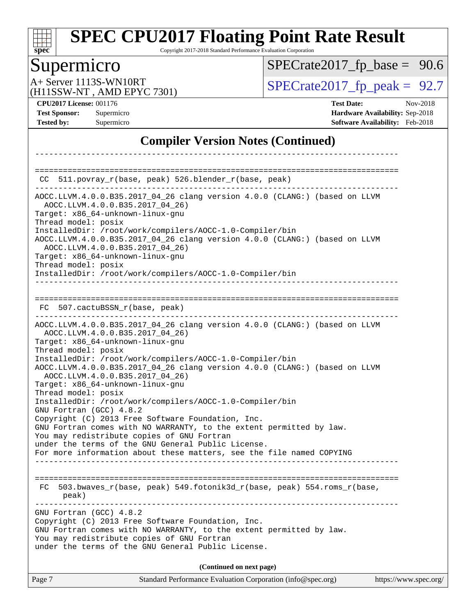

Copyright 2017-2018 Standard Performance Evaluation Corporation

# Supermicro

 $SPECrate2017_fp\_base = 90.6$ 

(H11SSW-NT , AMD EPYC 7301)

A+ Server 1113S-WN10RT<br>
(H11SSW-NT AMD EPYC 7301) [SPECrate2017\\_fp\\_peak =](http://www.spec.org/auto/cpu2017/Docs/result-fields.html#SPECrate2017fppeak) 92.7

**[CPU2017 License:](http://www.spec.org/auto/cpu2017/Docs/result-fields.html#CPU2017License)** 001176 **[Test Date:](http://www.spec.org/auto/cpu2017/Docs/result-fields.html#TestDate)** Nov-2018 **[Test Sponsor:](http://www.spec.org/auto/cpu2017/Docs/result-fields.html#TestSponsor)** Supermicro **[Hardware Availability:](http://www.spec.org/auto/cpu2017/Docs/result-fields.html#HardwareAvailability)** Sep-2018 **[Tested by:](http://www.spec.org/auto/cpu2017/Docs/result-fields.html#Testedby)** Supermicro **[Software Availability:](http://www.spec.org/auto/cpu2017/Docs/result-fields.html#SoftwareAvailability)** Feb-2018

### **[Compiler Version Notes \(Continued\)](http://www.spec.org/auto/cpu2017/Docs/result-fields.html#CompilerVersionNotes)**

| CC 511.povray_r(base, peak) 526.blender_r(base, peak)                                                                                                                                                                                                                                                                                                                                                                                                                                                                                                                                                                                                                                                                                                                                                                                                 |  |
|-------------------------------------------------------------------------------------------------------------------------------------------------------------------------------------------------------------------------------------------------------------------------------------------------------------------------------------------------------------------------------------------------------------------------------------------------------------------------------------------------------------------------------------------------------------------------------------------------------------------------------------------------------------------------------------------------------------------------------------------------------------------------------------------------------------------------------------------------------|--|
| AOCC.LLVM.4.0.0.B35.2017_04_26 clang version 4.0.0 (CLANG:) (based on LLVM<br>AOCC.LLVM.4.0.0.B35.2017 04 26)<br>Target: x86_64-unknown-linux-gnu<br>Thread model: posix<br>InstalledDir: /root/work/compilers/AOCC-1.0-Compiler/bin<br>AOCC.LLVM.4.0.0.B35.2017_04_26 clang version 4.0.0 (CLANG:) (based on LLVM<br>AOCC.LLVM.4.0.0.B35.2017 04 26)<br>Target: x86_64-unknown-linux-gnu<br>Thread model: posix<br>InstalledDir: /root/work/compilers/AOCC-1.0-Compiler/bin                                                                                                                                                                                                                                                                                                                                                                          |  |
| FC 507.cactuBSSN r(base, peak)                                                                                                                                                                                                                                                                                                                                                                                                                                                                                                                                                                                                                                                                                                                                                                                                                        |  |
| AOCC.LLVM.4.0.0.B35.2017_04_26 clang version 4.0.0 (CLANG:) (based on LLVM<br>AOCC.LLVM.4.0.0.B35.2017 04 26)<br>Target: x86_64-unknown-linux-gnu<br>Thread model: posix<br>InstalledDir: /root/work/compilers/AOCC-1.0-Compiler/bin<br>AOCC.LLVM.4.0.0.B35.2017_04_26 clang version 4.0.0 (CLANG:) (based on LLVM<br>AOCC.LLVM.4.0.0.B35.2017_04_26)<br>Target: x86_64-unknown-linux-gnu<br>Thread model: posix<br>InstalledDir: /root/work/compilers/AOCC-1.0-Compiler/bin<br>GNU Fortran (GCC) 4.8.2<br>Copyright (C) 2013 Free Software Foundation, Inc.<br>GNU Fortran comes with NO WARRANTY, to the extent permitted by law.<br>You may redistribute copies of GNU Fortran<br>under the terms of the GNU General Public License.<br>For more information about these matters, see the file named COPYING<br>__________________________________ |  |
| 503.bwaves_r(base, peak) 549.fotonik3d_r(base, peak) 554.roms_r(base,<br>FC.<br>peak)                                                                                                                                                                                                                                                                                                                                                                                                                                                                                                                                                                                                                                                                                                                                                                 |  |
| GNU Fortran (GCC) 4.8.2<br>Copyright (C) 2013 Free Software Foundation, Inc.<br>GNU Fortran comes with NO WARRANTY, to the extent permitted by law.<br>You may redistribute copies of GNU Fortran<br>under the terms of the GNU General Public License.                                                                                                                                                                                                                                                                                                                                                                                                                                                                                                                                                                                               |  |
| (Continued on next page)                                                                                                                                                                                                                                                                                                                                                                                                                                                                                                                                                                                                                                                                                                                                                                                                                              |  |
| Standard Performance Evaluation Corporation (info@spec.org)<br>Page 7<br>https://www.spec.org/                                                                                                                                                                                                                                                                                                                                                                                                                                                                                                                                                                                                                                                                                                                                                        |  |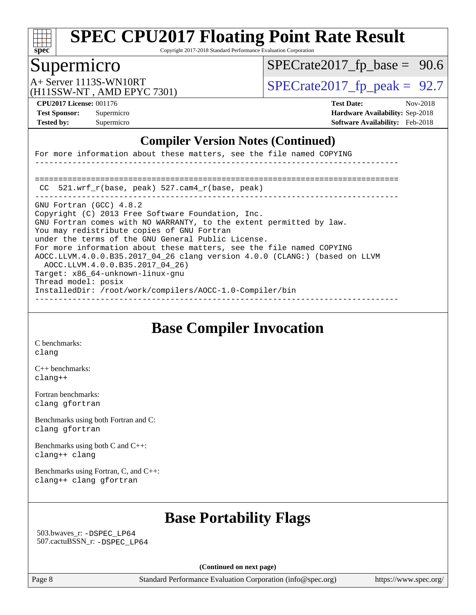

Copyright 2017-2018 Standard Performance Evaluation Corporation

# Supermicro

 $SPECTate2017_fp\_base = 90.6$ 

(H11SSW-NT , AMD EPYC 7301)

 $A+$  Server 1113S-WN10RT  $S$ PECrate2017\_fp\_peak = 92.7

**[Tested by:](http://www.spec.org/auto/cpu2017/Docs/result-fields.html#Testedby)** Supermicro **[Software Availability:](http://www.spec.org/auto/cpu2017/Docs/result-fields.html#SoftwareAvailability)** Feb-2018

**[CPU2017 License:](http://www.spec.org/auto/cpu2017/Docs/result-fields.html#CPU2017License)** 001176 **[Test Date:](http://www.spec.org/auto/cpu2017/Docs/result-fields.html#TestDate)** Nov-2018 **[Test Sponsor:](http://www.spec.org/auto/cpu2017/Docs/result-fields.html#TestSponsor)** Supermicro **[Hardware Availability:](http://www.spec.org/auto/cpu2017/Docs/result-fields.html#HardwareAvailability)** Sep-2018

### **[Compiler Version Notes \(Continued\)](http://www.spec.org/auto/cpu2017/Docs/result-fields.html#CompilerVersionNotes)**

For more information about these matters, see the file named COPYING ------------------------------------------------------------------------------ ============================================================================== CC 521.wrf\_r(base, peak) 527.cam4\_r(base, peak) ------------------------------------------------------------------------------ GNU Fortran (GCC) 4.8.2 Copyright (C) 2013 Free Software Foundation, Inc. GNU Fortran comes with NO WARRANTY, to the extent permitted by law. You may redistribute copies of GNU Fortran under the terms of the GNU General Public License. For more information about these matters, see the file named COPYING AOCC.LLVM.4.0.0.B35.2017\_04\_26 clang version 4.0.0 (CLANG:) (based on LLVM AOCC.LLVM.4.0.0.B35.2017\_04\_26) Target: x86\_64-unknown-linux-gnu Thread model: posix InstalledDir: /root/work/compilers/AOCC-1.0-Compiler/bin ------------------------------------------------------------------------------

## **[Base Compiler Invocation](http://www.spec.org/auto/cpu2017/Docs/result-fields.html#BaseCompilerInvocation)**

[C benchmarks](http://www.spec.org/auto/cpu2017/Docs/result-fields.html#Cbenchmarks): [clang](http://www.spec.org/cpu2017/results/res2018q4/cpu2017-20181112-09557.flags.html#user_CCbase_Fclang3_a68b77bfed473bd9cdd22529af008e8306c2e3948617c8991604c1a2000ee4a73ef90dd8bc793e105fe4165a625d26dacbda4708d828ad19048918c071b363ec)

[C++ benchmarks:](http://www.spec.org/auto/cpu2017/Docs/result-fields.html#CXXbenchmarks) [clang++](http://www.spec.org/cpu2017/results/res2018q4/cpu2017-20181112-09557.flags.html#user_CXXbase_Fclang3_57a48582e5be507d19b2527b3e7d4f85d9b8669ffc9a8a0dbb9bcf949a918a58bbab411e0c4d14a3922022a3e425a90db94042683824c1806feff4324ca1000d)

[Fortran benchmarks](http://www.spec.org/auto/cpu2017/Docs/result-fields.html#Fortranbenchmarks): [clang](http://www.spec.org/cpu2017/results/res2018q4/cpu2017-20181112-09557.flags.html#user_FCbase_Fclang3_a68b77bfed473bd9cdd22529af008e8306c2e3948617c8991604c1a2000ee4a73ef90dd8bc793e105fe4165a625d26dacbda4708d828ad19048918c071b363ec) [gfortran](http://www.spec.org/cpu2017/results/res2018q4/cpu2017-20181112-09557.flags.html#user_FCbase_aocc-gfortran_128c91a56d61ddb07404721e65b8f9498c31a443dacbd3b7f212891090eca86e2d099b520f75b99e9e8ac4fdec01f4d15f0b65e47123ec4c42b0759045731a1f)

[Benchmarks using both Fortran and C](http://www.spec.org/auto/cpu2017/Docs/result-fields.html#BenchmarksusingbothFortranandC): [clang](http://www.spec.org/cpu2017/results/res2018q4/cpu2017-20181112-09557.flags.html#user_CC_FCbase_Fclang3_a68b77bfed473bd9cdd22529af008e8306c2e3948617c8991604c1a2000ee4a73ef90dd8bc793e105fe4165a625d26dacbda4708d828ad19048918c071b363ec) [gfortran](http://www.spec.org/cpu2017/results/res2018q4/cpu2017-20181112-09557.flags.html#user_CC_FCbase_aocc-gfortran_128c91a56d61ddb07404721e65b8f9498c31a443dacbd3b7f212891090eca86e2d099b520f75b99e9e8ac4fdec01f4d15f0b65e47123ec4c42b0759045731a1f)

[Benchmarks using both C and C++](http://www.spec.org/auto/cpu2017/Docs/result-fields.html#BenchmarksusingbothCandCXX): [clang++](http://www.spec.org/cpu2017/results/res2018q4/cpu2017-20181112-09557.flags.html#user_CC_CXXbase_Fclang3_57a48582e5be507d19b2527b3e7d4f85d9b8669ffc9a8a0dbb9bcf949a918a58bbab411e0c4d14a3922022a3e425a90db94042683824c1806feff4324ca1000d) [clang](http://www.spec.org/cpu2017/results/res2018q4/cpu2017-20181112-09557.flags.html#user_CC_CXXbase_Fclang3_a68b77bfed473bd9cdd22529af008e8306c2e3948617c8991604c1a2000ee4a73ef90dd8bc793e105fe4165a625d26dacbda4708d828ad19048918c071b363ec)

[Benchmarks using Fortran, C, and C++:](http://www.spec.org/auto/cpu2017/Docs/result-fields.html#BenchmarksusingFortranCandCXX) [clang++](http://www.spec.org/cpu2017/results/res2018q4/cpu2017-20181112-09557.flags.html#user_CC_CXX_FCbase_Fclang3_57a48582e5be507d19b2527b3e7d4f85d9b8669ffc9a8a0dbb9bcf949a918a58bbab411e0c4d14a3922022a3e425a90db94042683824c1806feff4324ca1000d) [clang](http://www.spec.org/cpu2017/results/res2018q4/cpu2017-20181112-09557.flags.html#user_CC_CXX_FCbase_Fclang3_a68b77bfed473bd9cdd22529af008e8306c2e3948617c8991604c1a2000ee4a73ef90dd8bc793e105fe4165a625d26dacbda4708d828ad19048918c071b363ec) [gfortran](http://www.spec.org/cpu2017/results/res2018q4/cpu2017-20181112-09557.flags.html#user_CC_CXX_FCbase_aocc-gfortran_128c91a56d61ddb07404721e65b8f9498c31a443dacbd3b7f212891090eca86e2d099b520f75b99e9e8ac4fdec01f4d15f0b65e47123ec4c42b0759045731a1f)

## **[Base Portability Flags](http://www.spec.org/auto/cpu2017/Docs/result-fields.html#BasePortabilityFlags)**

 503.bwaves\_r: [-DSPEC\\_LP64](http://www.spec.org/cpu2017/results/res2018q4/cpu2017-20181112-09557.flags.html#suite_baseEXTRA_PORTABILITY503_bwaves_r_DSPEC_LP64) 507.cactuBSSN\_r: [-DSPEC\\_LP64](http://www.spec.org/cpu2017/results/res2018q4/cpu2017-20181112-09557.flags.html#suite_baseEXTRA_PORTABILITY507_cactuBSSN_r_DSPEC_LP64)

**(Continued on next page)**

Page 8 Standard Performance Evaluation Corporation [\(info@spec.org\)](mailto:info@spec.org) <https://www.spec.org/>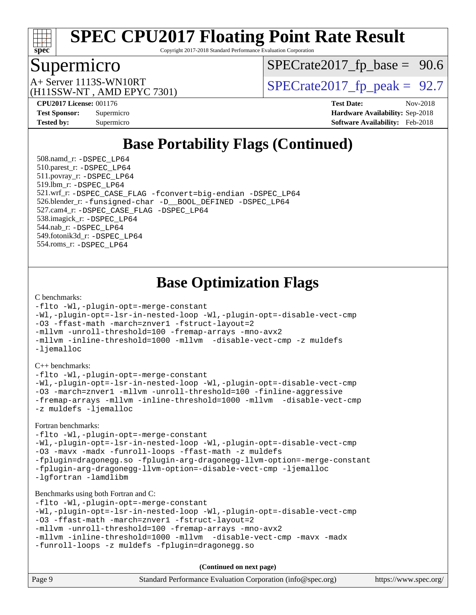

Copyright 2017-2018 Standard Performance Evaluation Corporation

### Supermicro

 $SPECTate2017_fp\_base = 90.6$ 

(H11SSW-NT , AMD EPYC 7301)

 $A+$  Server 1113S-WN10RT  $\vert$  [SPECrate2017\\_fp\\_peak =](http://www.spec.org/auto/cpu2017/Docs/result-fields.html#SPECrate2017fppeak) 92.7

**[CPU2017 License:](http://www.spec.org/auto/cpu2017/Docs/result-fields.html#CPU2017License)** 001176 **[Test Date:](http://www.spec.org/auto/cpu2017/Docs/result-fields.html#TestDate)** Nov-2018 **[Test Sponsor:](http://www.spec.org/auto/cpu2017/Docs/result-fields.html#TestSponsor)** Supermicro **[Hardware Availability:](http://www.spec.org/auto/cpu2017/Docs/result-fields.html#HardwareAvailability)** Sep-2018 **[Tested by:](http://www.spec.org/auto/cpu2017/Docs/result-fields.html#Testedby)** Supermicro **[Software Availability:](http://www.spec.org/auto/cpu2017/Docs/result-fields.html#SoftwareAvailability)** Feb-2018

# **[Base Portability Flags \(Continued\)](http://www.spec.org/auto/cpu2017/Docs/result-fields.html#BasePortabilityFlags)**

 508.namd\_r: [-DSPEC\\_LP64](http://www.spec.org/cpu2017/results/res2018q4/cpu2017-20181112-09557.flags.html#suite_baseEXTRA_PORTABILITY508_namd_r_DSPEC_LP64) 510.parest\_r: [-DSPEC\\_LP64](http://www.spec.org/cpu2017/results/res2018q4/cpu2017-20181112-09557.flags.html#suite_baseEXTRA_PORTABILITY510_parest_r_DSPEC_LP64) 511.povray\_r: [-DSPEC\\_LP64](http://www.spec.org/cpu2017/results/res2018q4/cpu2017-20181112-09557.flags.html#suite_baseEXTRA_PORTABILITY511_povray_r_DSPEC_LP64) 519.lbm\_r: [-DSPEC\\_LP64](http://www.spec.org/cpu2017/results/res2018q4/cpu2017-20181112-09557.flags.html#suite_baseEXTRA_PORTABILITY519_lbm_r_DSPEC_LP64) 521.wrf\_r: [-DSPEC\\_CASE\\_FLAG](http://www.spec.org/cpu2017/results/res2018q4/cpu2017-20181112-09557.flags.html#b521.wrf_r_baseCPORTABILITY_DSPEC_CASE_FLAG) [-fconvert=big-endian](http://www.spec.org/cpu2017/results/res2018q4/cpu2017-20181112-09557.flags.html#user_baseFPORTABILITY521_wrf_r_F-fconvert) [-DSPEC\\_LP64](http://www.spec.org/cpu2017/results/res2018q4/cpu2017-20181112-09557.flags.html#suite_baseEXTRA_PORTABILITY521_wrf_r_DSPEC_LP64) 526.blender\_r: [-funsigned-char](http://www.spec.org/cpu2017/results/res2018q4/cpu2017-20181112-09557.flags.html#user_baseCPORTABILITY526_blender_r_F-funsigned-char) [-D\\_\\_BOOL\\_DEFINED](http://www.spec.org/cpu2017/results/res2018q4/cpu2017-20181112-09557.flags.html#b526.blender_r_baseCXXPORTABILITY_D__BOOL_DEFINED) [-DSPEC\\_LP64](http://www.spec.org/cpu2017/results/res2018q4/cpu2017-20181112-09557.flags.html#suite_baseEXTRA_PORTABILITY526_blender_r_DSPEC_LP64) 527.cam4\_r: [-DSPEC\\_CASE\\_FLAG](http://www.spec.org/cpu2017/results/res2018q4/cpu2017-20181112-09557.flags.html#b527.cam4_r_basePORTABILITY_DSPEC_CASE_FLAG) [-DSPEC\\_LP64](http://www.spec.org/cpu2017/results/res2018q4/cpu2017-20181112-09557.flags.html#suite_baseEXTRA_PORTABILITY527_cam4_r_DSPEC_LP64) 538.imagick\_r: [-DSPEC\\_LP64](http://www.spec.org/cpu2017/results/res2018q4/cpu2017-20181112-09557.flags.html#suite_baseEXTRA_PORTABILITY538_imagick_r_DSPEC_LP64) 544.nab\_r: [-DSPEC\\_LP64](http://www.spec.org/cpu2017/results/res2018q4/cpu2017-20181112-09557.flags.html#suite_baseEXTRA_PORTABILITY544_nab_r_DSPEC_LP64) 549.fotonik3d\_r: [-DSPEC\\_LP64](http://www.spec.org/cpu2017/results/res2018q4/cpu2017-20181112-09557.flags.html#suite_baseEXTRA_PORTABILITY549_fotonik3d_r_DSPEC_LP64) 554.roms\_r: [-DSPEC\\_LP64](http://www.spec.org/cpu2017/results/res2018q4/cpu2017-20181112-09557.flags.html#suite_baseEXTRA_PORTABILITY554_roms_r_DSPEC_LP64)

**[Base Optimization Flags](http://www.spec.org/auto/cpu2017/Docs/result-fields.html#BaseOptimizationFlags)**

#### [C benchmarks](http://www.spec.org/auto/cpu2017/Docs/result-fields.html#Cbenchmarks):

```
-flto -Wl,-plugin-opt=-merge-constant
-Wl,-plugin-opt=-lsr-in-nested-loop -Wl,-plugin-opt=-disable-vect-cmp
-O3 -ffast-math -march=znver1 -fstruct-layout=2
-mllvm -unroll-threshold=100 -fremap-arrays -mno-avx2
-mllvm -inline-threshold=1000 -mllvm -disable-vect-cmp -z muldefs
-ljemalloc
```
[C++ benchmarks:](http://www.spec.org/auto/cpu2017/Docs/result-fields.html#CXXbenchmarks)

[-flto](http://www.spec.org/cpu2017/results/res2018q4/cpu2017-20181112-09557.flags.html#user_CXXbase_lto) [-Wl,-plugin-opt=-merge-constant](http://www.spec.org/cpu2017/results/res2018q4/cpu2017-20181112-09557.flags.html#user_CXXbase_F-merge-constant_1d79771b5442061d9c8e05556c6b0c655e6c9e66f8c6936b0129d434b6acd2b1cf1b7cd2540d1570ff636111b08a6bc36e2e61fc34531f8ef7c1a34c57be1dbb) [-Wl,-plugin-opt=-lsr-in-nested-loop](http://www.spec.org/cpu2017/results/res2018q4/cpu2017-20181112-09557.flags.html#user_CXXbase_lsr-in-nested-loop_1cff93fd95162f5e77640b5271e8bed680fb62b4a8d96fb8ab217ff3244646f1fbb342e31af83c263403bbf5249c7dc7732d5c86c3eab4cc8d32dcb7a6f33ca0) [-Wl,-plugin-opt=-disable-vect-cmp](http://www.spec.org/cpu2017/results/res2018q4/cpu2017-20181112-09557.flags.html#user_CXXbase_disable-vect-cmp_1056b9a09b8ddc126e023b5f99ae33179ef568835465af9b7adeacf4b6480ff575c8aee439265bcfbcbf086f33f2fa5cca2bc4cf52b64c0cd2e10f6503cba02d) [-O3](http://www.spec.org/cpu2017/results/res2018q4/cpu2017-20181112-09557.flags.html#user_CXXbase_F-O3) [-march=znver1](http://www.spec.org/cpu2017/results/res2018q4/cpu2017-20181112-09557.flags.html#user_CXXbase_F-march) [-mllvm -unroll-threshold=100](http://www.spec.org/cpu2017/results/res2018q4/cpu2017-20181112-09557.flags.html#user_CXXbase_F-unroll-threshold_2755d0c78138845d361fa1543e3a063fffa198df9b3edf0cfb856bbc88a81e1769b12ac7a550c5d35197be55360db1a3f95a8d1304df999456cabf5120c45168) [-finline-aggressive](http://www.spec.org/cpu2017/results/res2018q4/cpu2017-20181112-09557.flags.html#user_CXXbase_F-finline-aggressive) [-fremap-arrays](http://www.spec.org/cpu2017/results/res2018q4/cpu2017-20181112-09557.flags.html#user_CXXbase_F-fremap-arrays) [-mllvm -inline-threshold=1000](http://www.spec.org/cpu2017/results/res2018q4/cpu2017-20181112-09557.flags.html#user_CXXbase_inline-threshold_b7832241b0a6397e4ecdbaf0eb7defdc10f885c2a282fa3240fdc99844d543fda39cf8a4a9dccf68cf19b5438ac3b455264f478df15da0f4988afa40d8243bab) [-mllvm -disable-vect-cmp](http://www.spec.org/cpu2017/results/res2018q4/cpu2017-20181112-09557.flags.html#user_CXXbase_disable-vect-cmp_d995c9eb800469498c6893dc847c54c903d59847b18cb2ac22011b9af7010c96d2d48d3c6b41246fe86945001509aa4dc528afb61cb238fd3b256a31781ea0cf) [-z muldefs](http://www.spec.org/cpu2017/results/res2018q4/cpu2017-20181112-09557.flags.html#user_CXXbase_F-z-muldefs) [-ljemalloc](http://www.spec.org/cpu2017/results/res2018q4/cpu2017-20181112-09557.flags.html#user_CXXbase_jemalloc-lib_d1249b907c500fa1c0672f44f562e3d0f79738ae9e3c4a9c376d49f265a04b9c99b167ecedbf6711b3085be911c67ff61f150a17b3472be731631ba4d0471706)

[Fortran benchmarks](http://www.spec.org/auto/cpu2017/Docs/result-fields.html#Fortranbenchmarks):

[-flto](http://www.spec.org/cpu2017/results/res2018q4/cpu2017-20181112-09557.flags.html#user_FCbase_lto) [-Wl,-plugin-opt=-merge-constant](http://www.spec.org/cpu2017/results/res2018q4/cpu2017-20181112-09557.flags.html#user_FCbase_F-merge-constant_1d79771b5442061d9c8e05556c6b0c655e6c9e66f8c6936b0129d434b6acd2b1cf1b7cd2540d1570ff636111b08a6bc36e2e61fc34531f8ef7c1a34c57be1dbb) [-Wl,-plugin-opt=-lsr-in-nested-loop](http://www.spec.org/cpu2017/results/res2018q4/cpu2017-20181112-09557.flags.html#user_FCbase_lsr-in-nested-loop_1cff93fd95162f5e77640b5271e8bed680fb62b4a8d96fb8ab217ff3244646f1fbb342e31af83c263403bbf5249c7dc7732d5c86c3eab4cc8d32dcb7a6f33ca0) [-Wl,-plugin-opt=-disable-vect-cmp](http://www.spec.org/cpu2017/results/res2018q4/cpu2017-20181112-09557.flags.html#user_FCbase_disable-vect-cmp_1056b9a09b8ddc126e023b5f99ae33179ef568835465af9b7adeacf4b6480ff575c8aee439265bcfbcbf086f33f2fa5cca2bc4cf52b64c0cd2e10f6503cba02d) [-O3](http://www.spec.org/cpu2017/results/res2018q4/cpu2017-20181112-09557.flags.html#user_FCbase_F-O3) [-mavx](http://www.spec.org/cpu2017/results/res2018q4/cpu2017-20181112-09557.flags.html#user_FCbase_F-mavx) [-madx](http://www.spec.org/cpu2017/results/res2018q4/cpu2017-20181112-09557.flags.html#user_FCbase_F-madx) [-funroll-loops](http://www.spec.org/cpu2017/results/res2018q4/cpu2017-20181112-09557.flags.html#user_FCbase_aocc-funroll-loops) [-ffast-math](http://www.spec.org/cpu2017/results/res2018q4/cpu2017-20181112-09557.flags.html#user_FCbase_F-aocc-ffast-math_78dd175de6534c2005829757b9b0f2878e57b067cce6f7c443b2250ac68890960e2e1b320ca04b81ff7c62c6f87870ed05f06baf7875eea2990d38e3b73c71f1) [-z muldefs](http://www.spec.org/cpu2017/results/res2018q4/cpu2017-20181112-09557.flags.html#user_FCbase_F-z-muldefs) [-fplugin=dragonegg.so](http://www.spec.org/cpu2017/results/res2018q4/cpu2017-20181112-09557.flags.html#user_FCbase_F-fpluginDragonEgg) [-fplugin-arg-dragonegg-llvm-option=-merge-constant](http://www.spec.org/cpu2017/results/res2018q4/cpu2017-20181112-09557.flags.html#user_FCbase_F-merge-constant_37fd66d07a4fbae8f1b816e843c3ed1ebaa48f794b65ea8be746a1880566a3d23eba4a3c37b5c024650311adcf9247c62af28144803b3729b14be14423fa5142) [-fplugin-arg-dragonegg-llvm-option=-disable-vect-cmp](http://www.spec.org/cpu2017/results/res2018q4/cpu2017-20181112-09557.flags.html#user_FCbase_disable-vect-cmp_d119dd6f96524d64dc477d5e6a72268aebe046b42f767098038bf7530fc0cc546dd329b2376104fde185baca14f7365ef86ccd3ff602b57a7839de005478f594) [-ljemalloc](http://www.spec.org/cpu2017/results/res2018q4/cpu2017-20181112-09557.flags.html#user_FCbase_jemalloc-lib_d1249b907c500fa1c0672f44f562e3d0f79738ae9e3c4a9c376d49f265a04b9c99b167ecedbf6711b3085be911c67ff61f150a17b3472be731631ba4d0471706) [-lgfortran](http://www.spec.org/cpu2017/results/res2018q4/cpu2017-20181112-09557.flags.html#user_FCbase_F-lgfortran) [-lamdlibm](http://www.spec.org/cpu2017/results/res2018q4/cpu2017-20181112-09557.flags.html#user_FCbase_F-lamdlibm)

[Benchmarks using both Fortran and C](http://www.spec.org/auto/cpu2017/Docs/result-fields.html#BenchmarksusingbothFortranandC):

[-flto](http://www.spec.org/cpu2017/results/res2018q4/cpu2017-20181112-09557.flags.html#user_CC_FCbase_lto) [-Wl,-plugin-opt=-merge-constant](http://www.spec.org/cpu2017/results/res2018q4/cpu2017-20181112-09557.flags.html#user_CC_FCbase_F-merge-constant_1d79771b5442061d9c8e05556c6b0c655e6c9e66f8c6936b0129d434b6acd2b1cf1b7cd2540d1570ff636111b08a6bc36e2e61fc34531f8ef7c1a34c57be1dbb) [-Wl,-plugin-opt=-lsr-in-nested-loop](http://www.spec.org/cpu2017/results/res2018q4/cpu2017-20181112-09557.flags.html#user_CC_FCbase_lsr-in-nested-loop_1cff93fd95162f5e77640b5271e8bed680fb62b4a8d96fb8ab217ff3244646f1fbb342e31af83c263403bbf5249c7dc7732d5c86c3eab4cc8d32dcb7a6f33ca0) [-Wl,-plugin-opt=-disable-vect-cmp](http://www.spec.org/cpu2017/results/res2018q4/cpu2017-20181112-09557.flags.html#user_CC_FCbase_disable-vect-cmp_1056b9a09b8ddc126e023b5f99ae33179ef568835465af9b7adeacf4b6480ff575c8aee439265bcfbcbf086f33f2fa5cca2bc4cf52b64c0cd2e10f6503cba02d) [-O3](http://www.spec.org/cpu2017/results/res2018q4/cpu2017-20181112-09557.flags.html#user_CC_FCbase_F-O3) [-ffast-math](http://www.spec.org/cpu2017/results/res2018q4/cpu2017-20181112-09557.flags.html#user_CC_FCbase_F-aocc-ffast-math_78dd175de6534c2005829757b9b0f2878e57b067cce6f7c443b2250ac68890960e2e1b320ca04b81ff7c62c6f87870ed05f06baf7875eea2990d38e3b73c71f1) [-march=znver1](http://www.spec.org/cpu2017/results/res2018q4/cpu2017-20181112-09557.flags.html#user_CC_FCbase_F-march) [-fstruct-layout=2](http://www.spec.org/cpu2017/results/res2018q4/cpu2017-20181112-09557.flags.html#user_CC_FCbase_F-fstruct-layout_a05ec02e17cdf7fe0c3950a6b005251b2b1e5e67af2b5298cf72714730c3d59ba290e75546b10aa22dac074c15ceaca36ae22c62cb51bcb2fbdc9dc4e7e222c4) [-mllvm -unroll-threshold=100](http://www.spec.org/cpu2017/results/res2018q4/cpu2017-20181112-09557.flags.html#user_CC_FCbase_F-unroll-threshold_2755d0c78138845d361fa1543e3a063fffa198df9b3edf0cfb856bbc88a81e1769b12ac7a550c5d35197be55360db1a3f95a8d1304df999456cabf5120c45168) [-fremap-arrays](http://www.spec.org/cpu2017/results/res2018q4/cpu2017-20181112-09557.flags.html#user_CC_FCbase_F-fremap-arrays) [-mno-avx2](http://www.spec.org/cpu2017/results/res2018q4/cpu2017-20181112-09557.flags.html#user_CC_FCbase_F-mno-avx2) [-mllvm -inline-threshold=1000](http://www.spec.org/cpu2017/results/res2018q4/cpu2017-20181112-09557.flags.html#user_CC_FCbase_inline-threshold_b7832241b0a6397e4ecdbaf0eb7defdc10f885c2a282fa3240fdc99844d543fda39cf8a4a9dccf68cf19b5438ac3b455264f478df15da0f4988afa40d8243bab) [-mllvm -disable-vect-cmp](http://www.spec.org/cpu2017/results/res2018q4/cpu2017-20181112-09557.flags.html#user_CC_FCbase_disable-vect-cmp_d995c9eb800469498c6893dc847c54c903d59847b18cb2ac22011b9af7010c96d2d48d3c6b41246fe86945001509aa4dc528afb61cb238fd3b256a31781ea0cf) [-mavx](http://www.spec.org/cpu2017/results/res2018q4/cpu2017-20181112-09557.flags.html#user_CC_FCbase_F-mavx) [-madx](http://www.spec.org/cpu2017/results/res2018q4/cpu2017-20181112-09557.flags.html#user_CC_FCbase_F-madx) [-funroll-loops](http://www.spec.org/cpu2017/results/res2018q4/cpu2017-20181112-09557.flags.html#user_CC_FCbase_aocc-funroll-loops) [-z muldefs](http://www.spec.org/cpu2017/results/res2018q4/cpu2017-20181112-09557.flags.html#user_CC_FCbase_F-z-muldefs) [-fplugin=dragonegg.so](http://www.spec.org/cpu2017/results/res2018q4/cpu2017-20181112-09557.flags.html#user_CC_FCbase_F-fpluginDragonEgg)

Page 9 Standard Performance Evaluation Corporation [\(info@spec.org\)](mailto:info@spec.org) <https://www.spec.org/> **(Continued on next page)**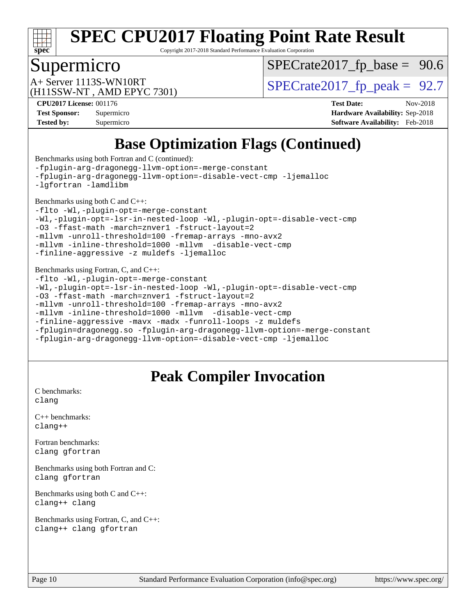

Copyright 2017-2018 Standard Performance Evaluation Corporation

## Supermicro

 $SPECrate2017_fp\_base = 90.6$ 

(H11SSW-NT , AMD EPYC 7301)

 $A+$  Server 1113S-WN10RT  $\begin{array}{c|c}\n\text{SPECrate2017\_fp\_peak} = 92.7\n\end{array}$ 

**[Tested by:](http://www.spec.org/auto/cpu2017/Docs/result-fields.html#Testedby)** Supermicro **[Software Availability:](http://www.spec.org/auto/cpu2017/Docs/result-fields.html#SoftwareAvailability)** Feb-2018

**[CPU2017 License:](http://www.spec.org/auto/cpu2017/Docs/result-fields.html#CPU2017License)** 001176 **[Test Date:](http://www.spec.org/auto/cpu2017/Docs/result-fields.html#TestDate)** Nov-2018 **[Test Sponsor:](http://www.spec.org/auto/cpu2017/Docs/result-fields.html#TestSponsor)** Supermicro **[Hardware Availability:](http://www.spec.org/auto/cpu2017/Docs/result-fields.html#HardwareAvailability)** Sep-2018

# **[Base Optimization Flags \(Continued\)](http://www.spec.org/auto/cpu2017/Docs/result-fields.html#BaseOptimizationFlags)**

[Benchmarks using both Fortran and C](http://www.spec.org/auto/cpu2017/Docs/result-fields.html#BenchmarksusingbothFortranandC) (continued): [-fplugin-arg-dragonegg-llvm-option=-merge-constant](http://www.spec.org/cpu2017/results/res2018q4/cpu2017-20181112-09557.flags.html#user_CC_FCbase_F-merge-constant_37fd66d07a4fbae8f1b816e843c3ed1ebaa48f794b65ea8be746a1880566a3d23eba4a3c37b5c024650311adcf9247c62af28144803b3729b14be14423fa5142) [-fplugin-arg-dragonegg-llvm-option=-disable-vect-cmp](http://www.spec.org/cpu2017/results/res2018q4/cpu2017-20181112-09557.flags.html#user_CC_FCbase_disable-vect-cmp_d119dd6f96524d64dc477d5e6a72268aebe046b42f767098038bf7530fc0cc546dd329b2376104fde185baca14f7365ef86ccd3ff602b57a7839de005478f594) [-ljemalloc](http://www.spec.org/cpu2017/results/res2018q4/cpu2017-20181112-09557.flags.html#user_CC_FCbase_jemalloc-lib_d1249b907c500fa1c0672f44f562e3d0f79738ae9e3c4a9c376d49f265a04b9c99b167ecedbf6711b3085be911c67ff61f150a17b3472be731631ba4d0471706) [-lgfortran](http://www.spec.org/cpu2017/results/res2018q4/cpu2017-20181112-09557.flags.html#user_CC_FCbase_F-lgfortran) [-lamdlibm](http://www.spec.org/cpu2017/results/res2018q4/cpu2017-20181112-09557.flags.html#user_CC_FCbase_F-lamdlibm) [Benchmarks using both C and C++](http://www.spec.org/auto/cpu2017/Docs/result-fields.html#BenchmarksusingbothCandCXX): [-flto](http://www.spec.org/cpu2017/results/res2018q4/cpu2017-20181112-09557.flags.html#user_CC_CXXbase_lto) [-Wl,-plugin-opt=-merge-constant](http://www.spec.org/cpu2017/results/res2018q4/cpu2017-20181112-09557.flags.html#user_CC_CXXbase_F-merge-constant_1d79771b5442061d9c8e05556c6b0c655e6c9e66f8c6936b0129d434b6acd2b1cf1b7cd2540d1570ff636111b08a6bc36e2e61fc34531f8ef7c1a34c57be1dbb) [-Wl,-plugin-opt=-lsr-in-nested-loop](http://www.spec.org/cpu2017/results/res2018q4/cpu2017-20181112-09557.flags.html#user_CC_CXXbase_lsr-in-nested-loop_1cff93fd95162f5e77640b5271e8bed680fb62b4a8d96fb8ab217ff3244646f1fbb342e31af83c263403bbf5249c7dc7732d5c86c3eab4cc8d32dcb7a6f33ca0) [-Wl,-plugin-opt=-disable-vect-cmp](http://www.spec.org/cpu2017/results/res2018q4/cpu2017-20181112-09557.flags.html#user_CC_CXXbase_disable-vect-cmp_1056b9a09b8ddc126e023b5f99ae33179ef568835465af9b7adeacf4b6480ff575c8aee439265bcfbcbf086f33f2fa5cca2bc4cf52b64c0cd2e10f6503cba02d) [-O3](http://www.spec.org/cpu2017/results/res2018q4/cpu2017-20181112-09557.flags.html#user_CC_CXXbase_F-O3) [-ffast-math](http://www.spec.org/cpu2017/results/res2018q4/cpu2017-20181112-09557.flags.html#user_CC_CXXbase_F-aocc-ffast-math_78dd175de6534c2005829757b9b0f2878e57b067cce6f7c443b2250ac68890960e2e1b320ca04b81ff7c62c6f87870ed05f06baf7875eea2990d38e3b73c71f1) [-march=znver1](http://www.spec.org/cpu2017/results/res2018q4/cpu2017-20181112-09557.flags.html#user_CC_CXXbase_F-march) [-fstruct-layout=2](http://www.spec.org/cpu2017/results/res2018q4/cpu2017-20181112-09557.flags.html#user_CC_CXXbase_F-fstruct-layout_a05ec02e17cdf7fe0c3950a6b005251b2b1e5e67af2b5298cf72714730c3d59ba290e75546b10aa22dac074c15ceaca36ae22c62cb51bcb2fbdc9dc4e7e222c4) [-mllvm -unroll-threshold=100](http://www.spec.org/cpu2017/results/res2018q4/cpu2017-20181112-09557.flags.html#user_CC_CXXbase_F-unroll-threshold_2755d0c78138845d361fa1543e3a063fffa198df9b3edf0cfb856bbc88a81e1769b12ac7a550c5d35197be55360db1a3f95a8d1304df999456cabf5120c45168) [-fremap-arrays](http://www.spec.org/cpu2017/results/res2018q4/cpu2017-20181112-09557.flags.html#user_CC_CXXbase_F-fremap-arrays) [-mno-avx2](http://www.spec.org/cpu2017/results/res2018q4/cpu2017-20181112-09557.flags.html#user_CC_CXXbase_F-mno-avx2) [-mllvm -inline-threshold=1000](http://www.spec.org/cpu2017/results/res2018q4/cpu2017-20181112-09557.flags.html#user_CC_CXXbase_inline-threshold_b7832241b0a6397e4ecdbaf0eb7defdc10f885c2a282fa3240fdc99844d543fda39cf8a4a9dccf68cf19b5438ac3b455264f478df15da0f4988afa40d8243bab) [-mllvm -disable-vect-cmp](http://www.spec.org/cpu2017/results/res2018q4/cpu2017-20181112-09557.flags.html#user_CC_CXXbase_disable-vect-cmp_d995c9eb800469498c6893dc847c54c903d59847b18cb2ac22011b9af7010c96d2d48d3c6b41246fe86945001509aa4dc528afb61cb238fd3b256a31781ea0cf) [-finline-aggressive](http://www.spec.org/cpu2017/results/res2018q4/cpu2017-20181112-09557.flags.html#user_CC_CXXbase_F-finline-aggressive) [-z muldefs](http://www.spec.org/cpu2017/results/res2018q4/cpu2017-20181112-09557.flags.html#user_CC_CXXbase_F-z-muldefs) [-ljemalloc](http://www.spec.org/cpu2017/results/res2018q4/cpu2017-20181112-09557.flags.html#user_CC_CXXbase_jemalloc-lib_d1249b907c500fa1c0672f44f562e3d0f79738ae9e3c4a9c376d49f265a04b9c99b167ecedbf6711b3085be911c67ff61f150a17b3472be731631ba4d0471706) [Benchmarks using Fortran, C, and C++:](http://www.spec.org/auto/cpu2017/Docs/result-fields.html#BenchmarksusingFortranCandCXX) [-flto](http://www.spec.org/cpu2017/results/res2018q4/cpu2017-20181112-09557.flags.html#user_CC_CXX_FCbase_lto) [-Wl,-plugin-opt=-merge-constant](http://www.spec.org/cpu2017/results/res2018q4/cpu2017-20181112-09557.flags.html#user_CC_CXX_FCbase_F-merge-constant_1d79771b5442061d9c8e05556c6b0c655e6c9e66f8c6936b0129d434b6acd2b1cf1b7cd2540d1570ff636111b08a6bc36e2e61fc34531f8ef7c1a34c57be1dbb) [-Wl,-plugin-opt=-lsr-in-nested-loop](http://www.spec.org/cpu2017/results/res2018q4/cpu2017-20181112-09557.flags.html#user_CC_CXX_FCbase_lsr-in-nested-loop_1cff93fd95162f5e77640b5271e8bed680fb62b4a8d96fb8ab217ff3244646f1fbb342e31af83c263403bbf5249c7dc7732d5c86c3eab4cc8d32dcb7a6f33ca0) [-Wl,-plugin-opt=-disable-vect-cmp](http://www.spec.org/cpu2017/results/res2018q4/cpu2017-20181112-09557.flags.html#user_CC_CXX_FCbase_disable-vect-cmp_1056b9a09b8ddc126e023b5f99ae33179ef568835465af9b7adeacf4b6480ff575c8aee439265bcfbcbf086f33f2fa5cca2bc4cf52b64c0cd2e10f6503cba02d) [-O3](http://www.spec.org/cpu2017/results/res2018q4/cpu2017-20181112-09557.flags.html#user_CC_CXX_FCbase_F-O3) [-ffast-math](http://www.spec.org/cpu2017/results/res2018q4/cpu2017-20181112-09557.flags.html#user_CC_CXX_FCbase_F-aocc-ffast-math_78dd175de6534c2005829757b9b0f2878e57b067cce6f7c443b2250ac68890960e2e1b320ca04b81ff7c62c6f87870ed05f06baf7875eea2990d38e3b73c71f1) [-march=znver1](http://www.spec.org/cpu2017/results/res2018q4/cpu2017-20181112-09557.flags.html#user_CC_CXX_FCbase_F-march) [-fstruct-layout=2](http://www.spec.org/cpu2017/results/res2018q4/cpu2017-20181112-09557.flags.html#user_CC_CXX_FCbase_F-fstruct-layout_a05ec02e17cdf7fe0c3950a6b005251b2b1e5e67af2b5298cf72714730c3d59ba290e75546b10aa22dac074c15ceaca36ae22c62cb51bcb2fbdc9dc4e7e222c4) [-mllvm -unroll-threshold=100](http://www.spec.org/cpu2017/results/res2018q4/cpu2017-20181112-09557.flags.html#user_CC_CXX_FCbase_F-unroll-threshold_2755d0c78138845d361fa1543e3a063fffa198df9b3edf0cfb856bbc88a81e1769b12ac7a550c5d35197be55360db1a3f95a8d1304df999456cabf5120c45168) [-fremap-arrays](http://www.spec.org/cpu2017/results/res2018q4/cpu2017-20181112-09557.flags.html#user_CC_CXX_FCbase_F-fremap-arrays) [-mno-avx2](http://www.spec.org/cpu2017/results/res2018q4/cpu2017-20181112-09557.flags.html#user_CC_CXX_FCbase_F-mno-avx2) [-mllvm -inline-threshold=1000](http://www.spec.org/cpu2017/results/res2018q4/cpu2017-20181112-09557.flags.html#user_CC_CXX_FCbase_inline-threshold_b7832241b0a6397e4ecdbaf0eb7defdc10f885c2a282fa3240fdc99844d543fda39cf8a4a9dccf68cf19b5438ac3b455264f478df15da0f4988afa40d8243bab) [-mllvm -disable-vect-cmp](http://www.spec.org/cpu2017/results/res2018q4/cpu2017-20181112-09557.flags.html#user_CC_CXX_FCbase_disable-vect-cmp_d995c9eb800469498c6893dc847c54c903d59847b18cb2ac22011b9af7010c96d2d48d3c6b41246fe86945001509aa4dc528afb61cb238fd3b256a31781ea0cf) [-finline-aggressive](http://www.spec.org/cpu2017/results/res2018q4/cpu2017-20181112-09557.flags.html#user_CC_CXX_FCbase_F-finline-aggressive) [-mavx](http://www.spec.org/cpu2017/results/res2018q4/cpu2017-20181112-09557.flags.html#user_CC_CXX_FCbase_F-mavx) [-madx](http://www.spec.org/cpu2017/results/res2018q4/cpu2017-20181112-09557.flags.html#user_CC_CXX_FCbase_F-madx) [-funroll-loops](http://www.spec.org/cpu2017/results/res2018q4/cpu2017-20181112-09557.flags.html#user_CC_CXX_FCbase_aocc-funroll-loops) [-z muldefs](http://www.spec.org/cpu2017/results/res2018q4/cpu2017-20181112-09557.flags.html#user_CC_CXX_FCbase_F-z-muldefs) [-fplugin=dragonegg.so](http://www.spec.org/cpu2017/results/res2018q4/cpu2017-20181112-09557.flags.html#user_CC_CXX_FCbase_F-fpluginDragonEgg) [-fplugin-arg-dragonegg-llvm-option=-merge-constant](http://www.spec.org/cpu2017/results/res2018q4/cpu2017-20181112-09557.flags.html#user_CC_CXX_FCbase_F-merge-constant_37fd66d07a4fbae8f1b816e843c3ed1ebaa48f794b65ea8be746a1880566a3d23eba4a3c37b5c024650311adcf9247c62af28144803b3729b14be14423fa5142) [-fplugin-arg-dragonegg-llvm-option=-disable-vect-cmp](http://www.spec.org/cpu2017/results/res2018q4/cpu2017-20181112-09557.flags.html#user_CC_CXX_FCbase_disable-vect-cmp_d119dd6f96524d64dc477d5e6a72268aebe046b42f767098038bf7530fc0cc546dd329b2376104fde185baca14f7365ef86ccd3ff602b57a7839de005478f594) [-ljemalloc](http://www.spec.org/cpu2017/results/res2018q4/cpu2017-20181112-09557.flags.html#user_CC_CXX_FCbase_jemalloc-lib_d1249b907c500fa1c0672f44f562e3d0f79738ae9e3c4a9c376d49f265a04b9c99b167ecedbf6711b3085be911c67ff61f150a17b3472be731631ba4d0471706)

## **[Peak Compiler Invocation](http://www.spec.org/auto/cpu2017/Docs/result-fields.html#PeakCompilerInvocation)**

[C benchmarks](http://www.spec.org/auto/cpu2017/Docs/result-fields.html#Cbenchmarks): [clang](http://www.spec.org/cpu2017/results/res2018q4/cpu2017-20181112-09557.flags.html#user_CCpeak_Fclang3_a68b77bfed473bd9cdd22529af008e8306c2e3948617c8991604c1a2000ee4a73ef90dd8bc793e105fe4165a625d26dacbda4708d828ad19048918c071b363ec)

[C++ benchmarks:](http://www.spec.org/auto/cpu2017/Docs/result-fields.html#CXXbenchmarks) [clang++](http://www.spec.org/cpu2017/results/res2018q4/cpu2017-20181112-09557.flags.html#user_CXXpeak_Fclang3_57a48582e5be507d19b2527b3e7d4f85d9b8669ffc9a8a0dbb9bcf949a918a58bbab411e0c4d14a3922022a3e425a90db94042683824c1806feff4324ca1000d)

[Fortran benchmarks](http://www.spec.org/auto/cpu2017/Docs/result-fields.html#Fortranbenchmarks): [clang](http://www.spec.org/cpu2017/results/res2018q4/cpu2017-20181112-09557.flags.html#user_FCpeak_Fclang3_a68b77bfed473bd9cdd22529af008e8306c2e3948617c8991604c1a2000ee4a73ef90dd8bc793e105fe4165a625d26dacbda4708d828ad19048918c071b363ec) [gfortran](http://www.spec.org/cpu2017/results/res2018q4/cpu2017-20181112-09557.flags.html#user_FCpeak_aocc-gfortran_128c91a56d61ddb07404721e65b8f9498c31a443dacbd3b7f212891090eca86e2d099b520f75b99e9e8ac4fdec01f4d15f0b65e47123ec4c42b0759045731a1f)

[Benchmarks using both Fortran and C](http://www.spec.org/auto/cpu2017/Docs/result-fields.html#BenchmarksusingbothFortranandC): [clang](http://www.spec.org/cpu2017/results/res2018q4/cpu2017-20181112-09557.flags.html#user_CC_FCpeak_Fclang3_a68b77bfed473bd9cdd22529af008e8306c2e3948617c8991604c1a2000ee4a73ef90dd8bc793e105fe4165a625d26dacbda4708d828ad19048918c071b363ec) [gfortran](http://www.spec.org/cpu2017/results/res2018q4/cpu2017-20181112-09557.flags.html#user_CC_FCpeak_aocc-gfortran_128c91a56d61ddb07404721e65b8f9498c31a443dacbd3b7f212891090eca86e2d099b520f75b99e9e8ac4fdec01f4d15f0b65e47123ec4c42b0759045731a1f)

[Benchmarks using both C and C++](http://www.spec.org/auto/cpu2017/Docs/result-fields.html#BenchmarksusingbothCandCXX): [clang++](http://www.spec.org/cpu2017/results/res2018q4/cpu2017-20181112-09557.flags.html#user_CC_CXXpeak_Fclang3_57a48582e5be507d19b2527b3e7d4f85d9b8669ffc9a8a0dbb9bcf949a918a58bbab411e0c4d14a3922022a3e425a90db94042683824c1806feff4324ca1000d) [clang](http://www.spec.org/cpu2017/results/res2018q4/cpu2017-20181112-09557.flags.html#user_CC_CXXpeak_Fclang3_a68b77bfed473bd9cdd22529af008e8306c2e3948617c8991604c1a2000ee4a73ef90dd8bc793e105fe4165a625d26dacbda4708d828ad19048918c071b363ec)

[Benchmarks using Fortran, C, and C++:](http://www.spec.org/auto/cpu2017/Docs/result-fields.html#BenchmarksusingFortranCandCXX) [clang++](http://www.spec.org/cpu2017/results/res2018q4/cpu2017-20181112-09557.flags.html#user_CC_CXX_FCpeak_Fclang3_57a48582e5be507d19b2527b3e7d4f85d9b8669ffc9a8a0dbb9bcf949a918a58bbab411e0c4d14a3922022a3e425a90db94042683824c1806feff4324ca1000d) [clang](http://www.spec.org/cpu2017/results/res2018q4/cpu2017-20181112-09557.flags.html#user_CC_CXX_FCpeak_Fclang3_a68b77bfed473bd9cdd22529af008e8306c2e3948617c8991604c1a2000ee4a73ef90dd8bc793e105fe4165a625d26dacbda4708d828ad19048918c071b363ec) [gfortran](http://www.spec.org/cpu2017/results/res2018q4/cpu2017-20181112-09557.flags.html#user_CC_CXX_FCpeak_aocc-gfortran_128c91a56d61ddb07404721e65b8f9498c31a443dacbd3b7f212891090eca86e2d099b520f75b99e9e8ac4fdec01f4d15f0b65e47123ec4c42b0759045731a1f)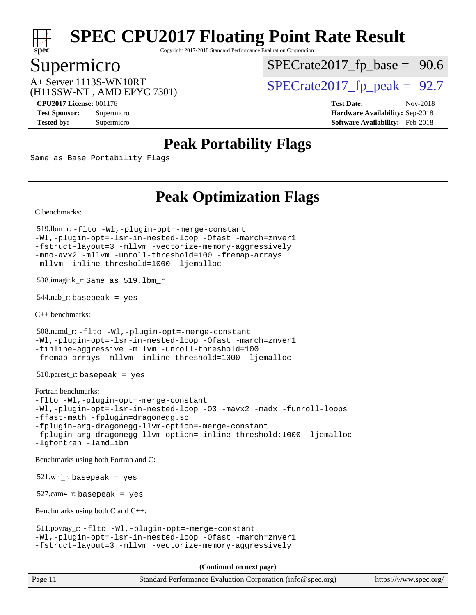

Copyright 2017-2018 Standard Performance Evaluation Corporation

# Supermicro

 $SPECTate2017_fp\_base = 90.6$ 

(H11SSW-NT , AMD EPYC 7301)

 $A+$  Server 1113S-WN10RT  $\begin{array}{c|c}\n\text{SPECrate2017\_fp\_peak} = 92.7\n\end{array}$ 

**[Tested by:](http://www.spec.org/auto/cpu2017/Docs/result-fields.html#Testedby)** Supermicro **[Software Availability:](http://www.spec.org/auto/cpu2017/Docs/result-fields.html#SoftwareAvailability)** Feb-2018

**[CPU2017 License:](http://www.spec.org/auto/cpu2017/Docs/result-fields.html#CPU2017License)** 001176 **[Test Date:](http://www.spec.org/auto/cpu2017/Docs/result-fields.html#TestDate)** Nov-2018 **[Test Sponsor:](http://www.spec.org/auto/cpu2017/Docs/result-fields.html#TestSponsor)** Supermicro **[Hardware Availability:](http://www.spec.org/auto/cpu2017/Docs/result-fields.html#HardwareAvailability)** Sep-2018

## **[Peak Portability Flags](http://www.spec.org/auto/cpu2017/Docs/result-fields.html#PeakPortabilityFlags)**

Same as Base Portability Flags

## **[Peak Optimization Flags](http://www.spec.org/auto/cpu2017/Docs/result-fields.html#PeakOptimizationFlags)**

[C benchmarks](http://www.spec.org/auto/cpu2017/Docs/result-fields.html#Cbenchmarks):

 519.lbm\_r: [-flto](http://www.spec.org/cpu2017/results/res2018q4/cpu2017-20181112-09557.flags.html#user_peakCOPTIMIZEEXTRA_LDFLAGS519_lbm_r_lto) [-Wl,-plugin-opt=-merge-constant](http://www.spec.org/cpu2017/results/res2018q4/cpu2017-20181112-09557.flags.html#user_peakEXTRA_LDFLAGS519_lbm_r_F-merge-constant_1d79771b5442061d9c8e05556c6b0c655e6c9e66f8c6936b0129d434b6acd2b1cf1b7cd2540d1570ff636111b08a6bc36e2e61fc34531f8ef7c1a34c57be1dbb) [-Wl,-plugin-opt=-lsr-in-nested-loop](http://www.spec.org/cpu2017/results/res2018q4/cpu2017-20181112-09557.flags.html#user_peakEXTRA_LDFLAGS519_lbm_r_lsr-in-nested-loop_1cff93fd95162f5e77640b5271e8bed680fb62b4a8d96fb8ab217ff3244646f1fbb342e31af83c263403bbf5249c7dc7732d5c86c3eab4cc8d32dcb7a6f33ca0) [-Ofast](http://www.spec.org/cpu2017/results/res2018q4/cpu2017-20181112-09557.flags.html#user_peakCOPTIMIZE519_lbm_r_F-aocc-Ofast) [-march=znver1](http://www.spec.org/cpu2017/results/res2018q4/cpu2017-20181112-09557.flags.html#user_peakCOPTIMIZE519_lbm_r_F-march) [-fstruct-layout=3](http://www.spec.org/cpu2017/results/res2018q4/cpu2017-20181112-09557.flags.html#user_peakCOPTIMIZE519_lbm_r_F-fstruct-layout) [-mllvm -vectorize-memory-aggressively](http://www.spec.org/cpu2017/results/res2018q4/cpu2017-20181112-09557.flags.html#user_peakCOPTIMIZE519_lbm_r_vectorize-memory-aggressively_24b72a4417f50ade9e698c5b3bed87ab456cc6fc8ec6439480cb84f36ad6a3975af6e87206dea402e3871a1464ff3d60bc798e0250f330177ba629a260df1857) [-mno-avx2](http://www.spec.org/cpu2017/results/res2018q4/cpu2017-20181112-09557.flags.html#user_peakCOPTIMIZE519_lbm_r_F-mno-avx2) [-mllvm -unroll-threshold=100](http://www.spec.org/cpu2017/results/res2018q4/cpu2017-20181112-09557.flags.html#user_peakCOPTIMIZE519_lbm_r_F-unroll-threshold_2755d0c78138845d361fa1543e3a063fffa198df9b3edf0cfb856bbc88a81e1769b12ac7a550c5d35197be55360db1a3f95a8d1304df999456cabf5120c45168) [-fremap-arrays](http://www.spec.org/cpu2017/results/res2018q4/cpu2017-20181112-09557.flags.html#user_peakCOPTIMIZE519_lbm_r_F-fremap-arrays) [-mllvm -inline-threshold=1000](http://www.spec.org/cpu2017/results/res2018q4/cpu2017-20181112-09557.flags.html#user_peakCOPTIMIZE519_lbm_r_inline-threshold_b7832241b0a6397e4ecdbaf0eb7defdc10f885c2a282fa3240fdc99844d543fda39cf8a4a9dccf68cf19b5438ac3b455264f478df15da0f4988afa40d8243bab) [-ljemalloc](http://www.spec.org/cpu2017/results/res2018q4/cpu2017-20181112-09557.flags.html#user_peakEXTRA_LIBS519_lbm_r_jemalloc-lib_d1249b907c500fa1c0672f44f562e3d0f79738ae9e3c4a9c376d49f265a04b9c99b167ecedbf6711b3085be911c67ff61f150a17b3472be731631ba4d0471706)

538.imagick\_r: Same as 519.lbm\_r

544.nab\_r: basepeak = yes

 $C_{++}$  benchmarks:

```
 508.namd_r: -flto -Wl,-plugin-opt=-merge-constant
-Wl,-plugin-opt=-lsr-in-nested-loop -Ofast -march=znver1
-finline-aggressive -mllvm -unroll-threshold=100
-fremap-arrays -mllvm -inline-threshold=1000 -ljemalloc
```
 $510.parest_r:$  basepeak = yes

```
Fortran benchmarks: 
-flto -Wl,-plugin-opt=-merge-constant
-Wl,-plugin-opt=-lsr-in-nested-loop -O3 -mavx2 -madx -funroll-loops
-ffast-math -fplugin=dragonegg.so
-fplugin-arg-dragonegg-llvm-option=-merge-constant
-fplugin-arg-dragonegg-llvm-option=-inline-threshold:1000 -ljemalloc
-lgfortran -lamdlibm
```
[Benchmarks using both Fortran and C](http://www.spec.org/auto/cpu2017/Docs/result-fields.html#BenchmarksusingbothFortranandC):

 $521.wrf$ . basepeak = yes

527.cam4\_r: basepeak = yes

[Benchmarks using both C and C++](http://www.spec.org/auto/cpu2017/Docs/result-fields.html#BenchmarksusingbothCandCXX):

```
 511.povray_r: -flto -Wl,-plugin-opt=-merge-constant
-Wl,-plugin-opt=-lsr-in-nested-loop -Ofast -march=znver1
-fstruct-layout=3 -mllvm -vectorize-memory-aggressively
```
**(Continued on next page)**